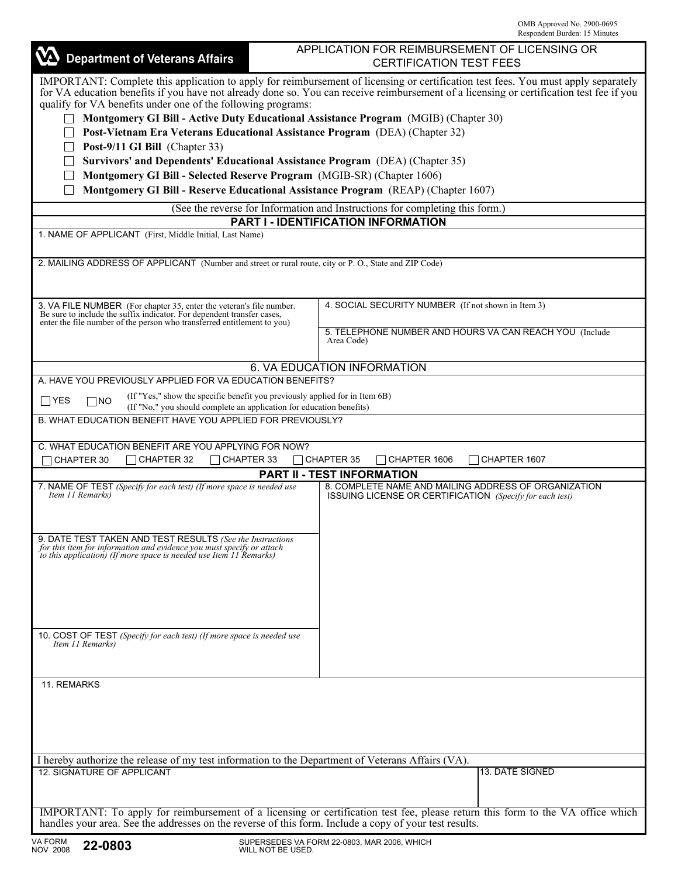| <b>Department of Veterans Affairs</b>                                                                                                                                                                                                                                                                                                                                                                                                                                                                                                                                                                                                                                                                                                                                                                                                                                                 | APPLICATION FOR REIMBURSEMENT OF LICENSING OR<br><b>CERTIFICATION TEST FEES</b> |                                                                                                                  |  |  |  |  |  |  |
|---------------------------------------------------------------------------------------------------------------------------------------------------------------------------------------------------------------------------------------------------------------------------------------------------------------------------------------------------------------------------------------------------------------------------------------------------------------------------------------------------------------------------------------------------------------------------------------------------------------------------------------------------------------------------------------------------------------------------------------------------------------------------------------------------------------------------------------------------------------------------------------|---------------------------------------------------------------------------------|------------------------------------------------------------------------------------------------------------------|--|--|--|--|--|--|
| IMPORTANT: Complete this application to apply for reimbursement of licensing or certification test fees. You must apply separately<br>for VA education benefits if you have not already done so. You can receive reimbursement of a licensing or certification test fee if you<br>qualify for VA benefits under one of the following programs:<br>Montgomery GI Bill - Active Duty Educational Assistance Program (MGIB) (Chapter 30)<br>Post-Vietnam Era Veterans Educational Assistance Program (DEA) (Chapter 32)<br>Post-9/11 GI Bill (Chapter 33)<br>Survivors' and Dependents' Educational Assistance Program (DEA) (Chapter 35)<br>Montgomery GI Bill - Selected Reserve Program (MGIB-SR) (Chapter 1606)<br>Montgomery GI Bill - Reserve Educational Assistance Program (REAP) (Chapter 1607)<br>(See the reverse for Information and Instructions for completing this form.) |                                                                                 |                                                                                                                  |  |  |  |  |  |  |
| PART I - IDENTIFICATION INFORMATION<br>1. NAME OF APPLICANT (First, Middle Initial, Last Name)                                                                                                                                                                                                                                                                                                                                                                                                                                                                                                                                                                                                                                                                                                                                                                                        |                                                                                 |                                                                                                                  |  |  |  |  |  |  |
|                                                                                                                                                                                                                                                                                                                                                                                                                                                                                                                                                                                                                                                                                                                                                                                                                                                                                       |                                                                                 |                                                                                                                  |  |  |  |  |  |  |
| 2. MAILING ADDRESS OF APPLICANT (Number and street or rural route, city or P. O., State and ZIP Code)                                                                                                                                                                                                                                                                                                                                                                                                                                                                                                                                                                                                                                                                                                                                                                                 |                                                                                 |                                                                                                                  |  |  |  |  |  |  |
| 3. VA FILE NUMBER (For chapter 35, enter the veteran's file number.<br>Be sure to include the suffix indicator. For dependent transfer cases, enter the file number of the person who transferred entitlement to you)                                                                                                                                                                                                                                                                                                                                                                                                                                                                                                                                                                                                                                                                 |                                                                                 | 4. SOCIAL SECURITY NUMBER (If not shown in Item 3)                                                               |  |  |  |  |  |  |
|                                                                                                                                                                                                                                                                                                                                                                                                                                                                                                                                                                                                                                                                                                                                                                                                                                                                                       |                                                                                 | 5. TELEPHONE NUMBER AND HOURS VA CAN REACH YOU (Include<br>Area Code)                                            |  |  |  |  |  |  |
| <b>6. VA EDUCATION INFORMATION</b>                                                                                                                                                                                                                                                                                                                                                                                                                                                                                                                                                                                                                                                                                                                                                                                                                                                    |                                                                                 |                                                                                                                  |  |  |  |  |  |  |
| A. HAVE YOU PREVIOUSLY APPLIED FOR VA EDUCATION BENEFITS?                                                                                                                                                                                                                                                                                                                                                                                                                                                                                                                                                                                                                                                                                                                                                                                                                             |                                                                                 |                                                                                                                  |  |  |  |  |  |  |
| (If "Yes," show the specific benefit you previously applied for in Item 6B)<br>$\neg$ Yes<br>$\Box$ No<br>(If "No," you should complete an application for education benefits)                                                                                                                                                                                                                                                                                                                                                                                                                                                                                                                                                                                                                                                                                                        |                                                                                 |                                                                                                                  |  |  |  |  |  |  |
| B. WHAT EDUCATION BENEFIT HAVE YOU APPLIED FOR PREVIOUSLY?                                                                                                                                                                                                                                                                                                                                                                                                                                                                                                                                                                                                                                                                                                                                                                                                                            |                                                                                 |                                                                                                                  |  |  |  |  |  |  |
| C. WHAT EDUCATION BENEFIT ARE YOU APPLYING FOR NOW?<br>CHAPTER 32<br>$\Box$ CHAPTER 33<br>CHAPTER 30                                                                                                                                                                                                                                                                                                                                                                                                                                                                                                                                                                                                                                                                                                                                                                                  |                                                                                 | $\Box$ CHAPTER 35<br>CHAPTER 1606<br>CHAPTER 1607                                                                |  |  |  |  |  |  |
|                                                                                                                                                                                                                                                                                                                                                                                                                                                                                                                                                                                                                                                                                                                                                                                                                                                                                       |                                                                                 | <b>PART II - TEST INFORMATION</b>                                                                                |  |  |  |  |  |  |
| 7. NAME OF TEST (Specify for each test) (If more space is needed use<br>Item 11 Remarks)                                                                                                                                                                                                                                                                                                                                                                                                                                                                                                                                                                                                                                                                                                                                                                                              |                                                                                 | 8. COMPLETE NAME AND MAILING ADDRESS OF ORGANIZATION<br>ISSUING LICENSE OR CERTIFICATION (Specify for each test) |  |  |  |  |  |  |
| 9. DATE TEST TAKEN AND TEST RESULTS (See the Instructions<br>for this item for information and evidence you must specify or attach<br>to this application) (If more space is needed use Item 11 Remarks)                                                                                                                                                                                                                                                                                                                                                                                                                                                                                                                                                                                                                                                                              |                                                                                 |                                                                                                                  |  |  |  |  |  |  |
| 10. COST OF TEST (Specify for each test) (If more space is needed use<br>Item 11 Remarks)                                                                                                                                                                                                                                                                                                                                                                                                                                                                                                                                                                                                                                                                                                                                                                                             |                                                                                 |                                                                                                                  |  |  |  |  |  |  |
| 11. REMARKS                                                                                                                                                                                                                                                                                                                                                                                                                                                                                                                                                                                                                                                                                                                                                                                                                                                                           |                                                                                 |                                                                                                                  |  |  |  |  |  |  |
| I hereby authorize the release of my test information to the Department of Veterans Affairs (VA).                                                                                                                                                                                                                                                                                                                                                                                                                                                                                                                                                                                                                                                                                                                                                                                     |                                                                                 |                                                                                                                  |  |  |  |  |  |  |
| <b>12. SIGNATURE OF APPLICANT</b>                                                                                                                                                                                                                                                                                                                                                                                                                                                                                                                                                                                                                                                                                                                                                                                                                                                     |                                                                                 | <b>13. DATE SIGNED</b>                                                                                           |  |  |  |  |  |  |
| IMPORTANT: To apply for reimbursement of a licensing or certification test fee, please return this form to the VA office which<br>handles your area. See the addresses on the reverse of this form. Include a copy of your test results.                                                                                                                                                                                                                                                                                                                                                                                                                                                                                                                                                                                                                                              |                                                                                 |                                                                                                                  |  |  |  |  |  |  |
| VA FORM<br>23.8882                                                                                                                                                                                                                                                                                                                                                                                                                                                                                                                                                                                                                                                                                                                                                                                                                                                                    |                                                                                 | SUPERSEDES VA FORM 22-0803 MAR 2006 WHICH                                                                        |  |  |  |  |  |  |